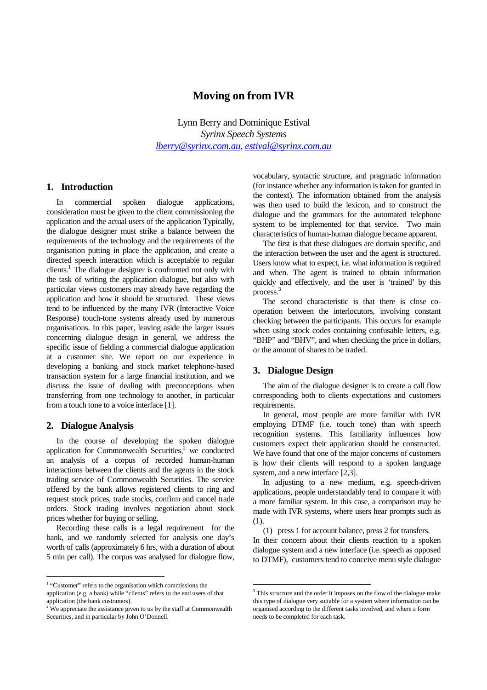# **Moving on from IVR**

Lynn Berry and Dominique Estival *Syrinx Speech Systems lberry@syrinx.com.au, estival@syrinx.com.au* 

## **1. Introduction**

In commercial spoken dialogue applications, consideration must be given to the client commissio ning the application and the actual users of the application Typically, the dialogue designer must strike a balance between the requirements of the technology and the requirements of the organisation putting in place the application, and create a directed speech interaction which is acceptable to regular clients.<sup>1</sup> The dialogue designer is confronted not only with the task of writing the application dialogue, but a lso with particular views customers may already have regardi ng the application and how it should be structured. These views tend to be influenced by the many IVR (Interactive Voice Response) touch-tone systems already used by numero us organisations. In this paper, leaving aside the lar gerissues concerning dialogue design in general, we address t he specific issue of fielding a commercial dialogue ap plication at a customer site. We report on our experience in developing a banking and stock market telephone-bas ed transaction system for a large financial institutio n, and we discuss the issue of dealing with preconceptions when en transferring from one technology to another, in par ticular from a touch tone to avoice interface [1].

# **2. Dialogue Analysis**

In the course of developing the spoken dialogue application for Commonwealth Securities,  $\lambda$  we conducted an analysis of a corpus of recorded human-human interactions between the clients and the agents in the stock trading service of Commonwealth Securities. The ser vice offered by the bank allows registered clients to ri ng and request stock prices, trade stocks, confirm and can cel trade orders. Stock trading involves negotiation about st ock prices whether for buying or selling.

Recording these calls is a legal requirement for the bank, and we randomly selected for analysis one day  $\cdot$ 's worth of calls (approximately 6 hrs, with a duratio no fabout 5 min per call). The corpus was analysed for dialog ue flow,

vocabulary, syntactic structure, and pragmatic info rmation (for instance whether any information is taken for granted in the context). The information obtained from the ana lysis was then used to build the lexicon, and to construc t the dialogue and the grammars for the automated telepho ne system to be implemented for that service. Two mai n characteristics of human-human dialogue became apparent.

The first is that these dialogues are domain specif ic, and the interaction between the user and the agent is structured. Usersknow what to expect, i.e. what information is required and when. The agent is trained to obtain informatio n quickly and effectively, and the user is 'trained' by this process.<sup>3</sup>

The second characteristic is that there is close co operation between the interlocutors, involving cons tant checking between the participants. This occurs for example when using stock codes containing confusable letter  $s, e.g.$ "BHP" and "BHV", and when checking the price indol lars, orthe amount of shares to be traded.

#### **3. Dialogue Design**

The aim of the dialogue designer is to create a cal l flow corresponding both to clients expectations and cust omers requirements.

In general, most people are more familiar with IVR employing DTMF (i.e. touch tone) than with speech recognition systems. This familiarity influences ho w customers expect their application should be constr ucted. We have found that one of the major concerns of cus tomers is how their clients will respond to a spoken langu age system, and a new interface [2,3].

In adjusting to a new medium, e.g. speech-driven applications, people understandably tend to compare it with a more familiar system. In this case, a comparison may be made with IVR systems, where users hear prompts such as (1).

(1) press1for account balance, press2for transf ers. In their concern about their clients reaction to a spoken dialogue system and a new interface (i.e. speech as opposed to DTMF), customers tend to conceive menustyle di alogue

<sup>&</sup>lt;sup>1</sup>"Customer" refersto the organisation which commis sions the application(e.g.abank) while "clients" refers to the end users of that application (the bank customers).

<sup>&</sup>lt;sup>2</sup>We appreciate the assistance given to us by the state aff at Commonwealth Securities, and in particular by John O'Donnell.

<sup>&</sup>lt;sup>3</sup>Thisstructure and the orderitimposes on the flow worth edialogue make this type of dialogue very suitable for asystem where information can be organised according to the different tasks involved , and where a form needs to be completed for each task.